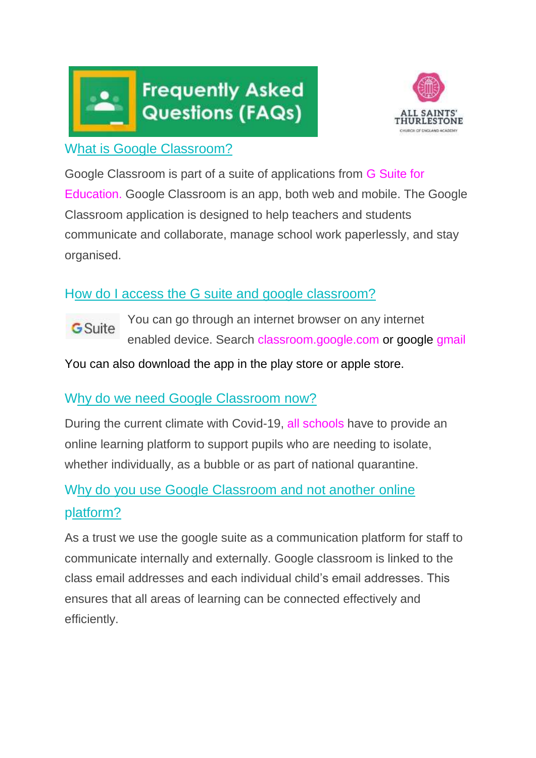



### What is Google Classroom?

Google Classroom is part of a suite of applications from [G Suite for](https://shakeuplearning.com/blog/g-suite-education-need-know/) [Education.](https://shakeuplearning.com/blog/g-suite-education-need-know/) Google Classroom is an app, both web and mobile. The Google Classroom application is designed to help teachers and students communicate and collaborate, manage school work paperlessly, and stay organised.

# How do I access the G suite and google classroom?

You can go through an internet browser on any internet GSuite enabled device. Search classroom.google.com or google gmail

You can also download the app in the play store or apple store.

## Why do we need Google Classroom now?

During the current climate with Covid-19, all schools have to provide an online learning platform to support pupils who are needing to isolate, whether individually, as a bubble or as part of national quarantine.

# Why do you use Google Classroom and not another online platform?

As a trust we use the google suite as a communication platform for staff to communicate internally and externally. Google classroom is linked to the class email addresses and each individual child's email addresses. This ensures that all areas of learning can be connected effectively and efficiently.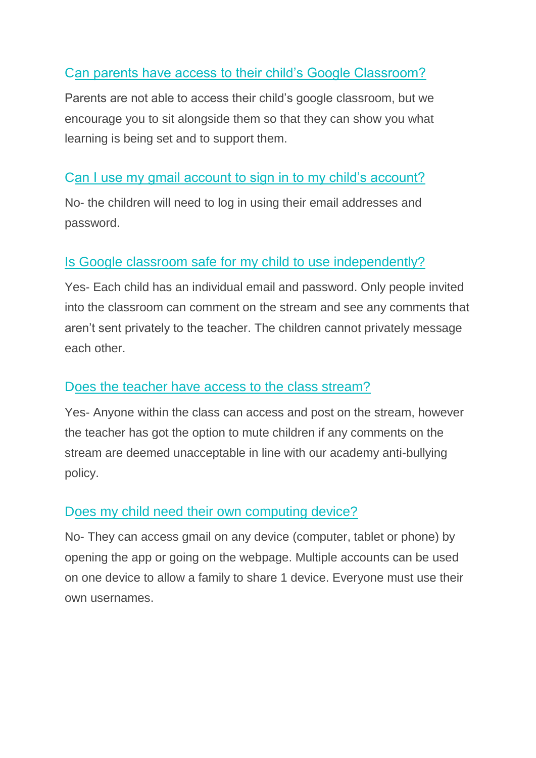# Can parents have access to their child's Google Classroom?

Parents are not able to access their child's google classroom, but we encourage you to sit alongside them so that they can show you what learning is being set and to support them.

# Can I use my gmail account to sign in to my child's account?

No- the children will need to log in using their email addresses and password.

#### Is Google classroom safe for my child to use independently?

Yes- Each child has an individual email and password. Only people invited into the classroom can comment on the stream and see any comments that aren't sent privately to the teacher. The children cannot privately message each other.

#### Does the teacher have access to the class stream?

Yes- Anyone within the class can access and post on the stream, however the teacher has got the option to mute children if any comments on the stream are deemed unacceptable in line with our academy anti-bullying policy.

#### Does my child need their own computing device?

No- They can access gmail on any device (computer, tablet or phone) by opening the app or going on the webpage. Multiple accounts can be used on one device to allow a family to share 1 device. Everyone must use their own usernames.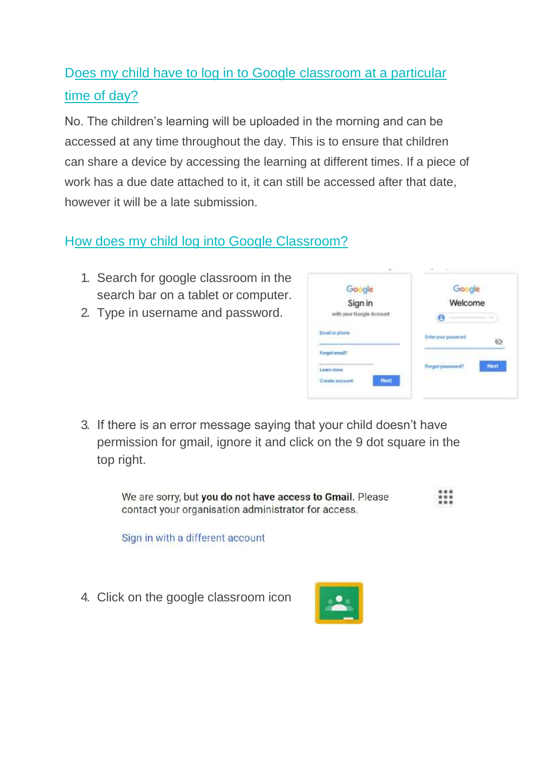# Does my child have to log in to Google classroom at a particular time of day?

No. The children's learning will be uploaded in the morning and can be accessed at any time throughout the day. This is to ensure that children can share a device by accessing the learning at different times. If a piece of work has a due date attached to it, it can still be accessed after that date, however it will be a late submission.

# How does my child log into Google Classroom?

- 1. Search for google classroom in the search bar on a tablet or computer.
- 2. Type in username and password.



3. If there is an error message saying that your child doesn't have permission for gmail, ignore it and click on the 9 dot square in the top right.

We are sorry, but you do not have access to Gmail. Please contact your organisation administrator for access.

Sign in with a different account

4. Click on the google classroom icon

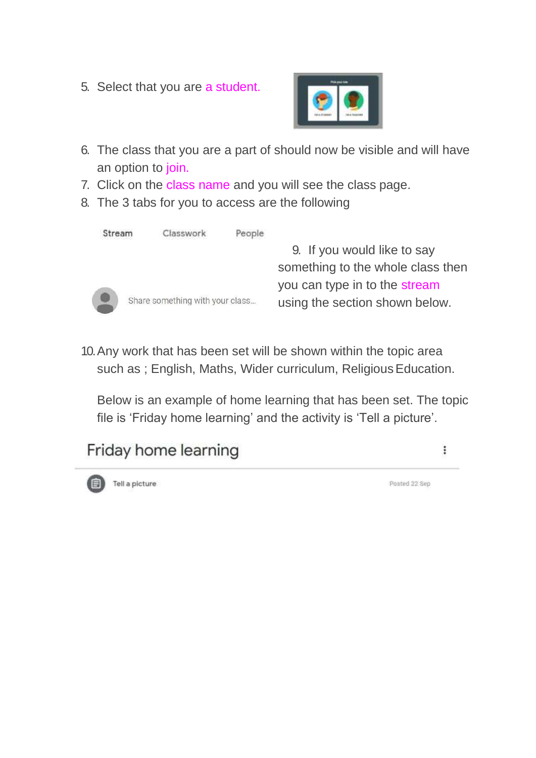5. Select that you are a student.



- 6. The class that you are a part of should now be visible and will have an option to join.
- 7. Click on the class name and you will see the class page.
- 8. The 3 tabs for you to access are the following

| Stream | Classwork                       | People |                                   |
|--------|---------------------------------|--------|-----------------------------------|
|        |                                 |        | 9. If you would like to say       |
|        |                                 |        | something to the whole class then |
|        |                                 |        | you can type in to the stream     |
|        | Share something with your class |        | using the section shown below.    |
|        |                                 |        |                                   |

10.Any work that has been set will be shown within the topic area such as ; English, Maths, Wider curriculum, Religious Education.

Below is an example of home learning that has been set. The topic file is 'Friday home learning' and the activity is 'Tell a picture'.

#### Friday home learning  $\colon$



Posted 22 Sep